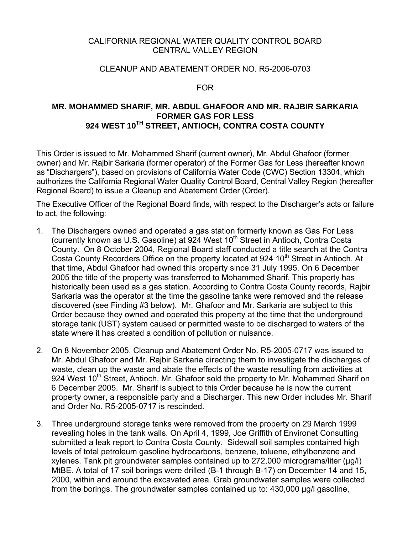#### CALIFORNIA REGIONAL WATER QUALITY CONTROL BOARD CENTRAL VALLEY REGION

#### CLEANUP AND ABATEMENT ORDER NO. R5-2006-0703

#### FOR

# **MR. MOHAMMED SHARIF, MR. ABDUL GHAFOOR AND MR. RAJBIR SARKARIA FORMER GAS FOR LESS 924 WEST 10TH STREET, ANTIOCH, CONTRA COSTA COUNTY**

This Order is issued to Mr. Mohammed Sharif (current owner), Mr. Abdul Ghafoor (former owner) and Mr. Rajbir Sarkaria (former operator) of the Former Gas for Less (hereafter known as "Dischargers"), based on provisions of California Water Code (CWC) Section 13304, which authorizes the California Regional Water Quality Control Board, Central Valley Region (hereafter Regional Board) to issue a Cleanup and Abatement Order (Order).

The Executive Officer of the Regional Board finds, with respect to the Discharger's acts or failure to act, the following:

- 1. The Dischargers owned and operated a gas station formerly known as Gas For Less (currently known as U.S. Gasoline) at 924 West 10<sup>th</sup> Street in Antioch, Contra Costa County. On 8 October 2004, Regional Board staff conducted a title search at the Contra Costa County Recorders Office on the property located at 924 10<sup>th</sup> Street in Antioch. At that time, Abdul Ghafoor had owned this property since 31 July 1995. On 6 December 2005 the title of the property was transferred to Mohammed Sharif. This property has historically been used as a gas station. According to Contra Costa County records, Rajbir Sarkaria was the operator at the time the gasoline tanks were removed and the release discovered (see Finding #3 below). Mr. Ghafoor and Mr. Sarkaria are subject to this Order because they owned and operated this property at the time that the underground storage tank (UST) system caused or permitted waste to be discharged to waters of the state where it has created a condition of pollution or nuisance.
- 2. On 8 November 2005, Cleanup and Abatement Order No. R5-2005-0717 was issued to Mr. Abdul Ghafoor and Mr. Rajbir Sarkaria directing them to investigate the discharges of waste, clean up the waste and abate the effects of the waste resulting from activities at 924 West 10<sup>th</sup> Street, Antioch. Mr. Ghafoor sold the property to Mr. Mohammed Sharif on 6 December 2005. Mr. Sharif is subject to this Order because he is now the current property owner, a responsible party and a Discharger. This new Order includes Mr. Sharif and Order No. R5-2005-0717 is rescinded.
- 3. Three underground storage tanks were removed from the property on 29 March 1999 revealing holes in the tank walls. On April 4, 1999, Joe Griffith of Environet Consulting submitted a leak report to Contra Costa County. Sidewall soil samples contained high levels of total petroleum gasoline hydrocarbons, benzene, toluene, ethylbenzene and xylenes. Tank pit groundwater samples contained up to 272,000 micrograms/liter (µg/l) MtBE. A total of 17 soil borings were drilled (B-1 through B-17) on December 14 and 15, 2000, within and around the excavated area. Grab groundwater samples were collected from the borings. The groundwater samples contained up to: 430,000 µg/l gasoline,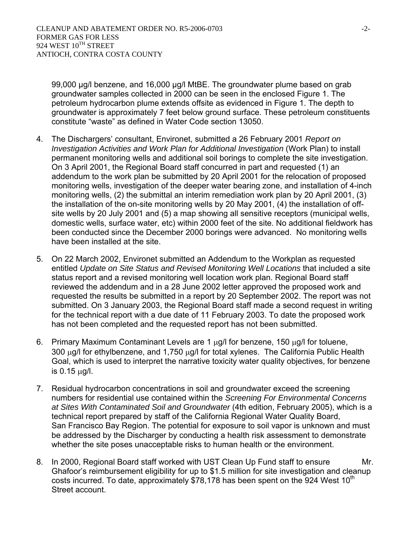99,000 µg/l benzene, and 16,000 µg/l MtBE. The groundwater plume based on grab groundwater samples collected in 2000 can be seen in the enclosed Figure 1. The petroleum hydrocarbon plume extends offsite as evidenced in Figure 1. The depth to groundwater is approximately 7 feet below ground surface. These petroleum constituents constitute "waste" as defined in Water Code section 13050.

- 4. The Dischargers' consultant, Environet, submitted a 26 February 2001 *Report on Investigation Activities and Work Plan for Additional Investigation* (Work Plan) to install permanent monitoring wells and additional soil borings to complete the site investigation. On 3 April 2001, the Regional Board staff concurred in part and requested (1) an addendum to the work plan be submitted by 20 April 2001 for the relocation of proposed monitoring wells, investigation of the deeper water bearing zone, and installation of 4-inch monitoring wells, (2) the submittal an interim remediation work plan by 20 April 2001, (3) the installation of the on-site monitoring wells by 20 May 2001, (4) the installation of offsite wells by 20 July 2001 and (5) a map showing all sensitive receptors (municipal wells, domestic wells, surface water, etc) within 2000 feet of the site. No additional fieldwork has been conducted since the December 2000 borings were advanced. No monitoring wells have been installed at the site.
- 5. On 22 March 2002, Environet submitted an Addendum to the Workplan as requested entitled *Update on Site Status and Revised Monitoring Well Locations* that included a site status report and a revised monitoring well location work plan. Regional Board staff reviewed the addendum and in a 28 June 2002 letter approved the proposed work and requested the results be submitted in a report by 20 September 2002. The report was not submitted. On 3 January 2003, the Regional Board staff made a second request in writing for the technical report with a due date of 11 February 2003. To date the proposed work has not been completed and the requested report has not been submitted.
- 6. Primary Maximum Contaminant Levels are 1 μg/l for benzene, 150 μg/l for toluene, 300 μg/l for ethylbenzene, and 1,750 μg/l for total xylenes. The California Public Health Goal, which is used to interpret the narrative toxicity water quality objectives, for benzene is 0.15 μg/l.
- 7. Residual hydrocarbon concentrations in soil and groundwater exceed the screening numbers for residential use contained within the *Screening For Environmental Concerns at Sites With Contaminated Soil and Groundwater* (4th edition, February 2005), which is a technical report prepared by staff of the California Regional Water Quality Board, San Francisco Bay Region. The potential for exposure to soil vapor is unknown and must be addressed by the Discharger by conducting a health risk assessment to demonstrate whether the site poses unacceptable risks to human health or the environment.
- 8. In 2000, Regional Board staff worked with UST Clean Up Fund staff to ensure Mr. Ghafoor's reimbursement eligibility for up to \$1.5 million for site investigation and cleanup costs incurred. To date, approximately \$78,178 has been spent on the 924 West  $10<sup>th</sup>$ Street account.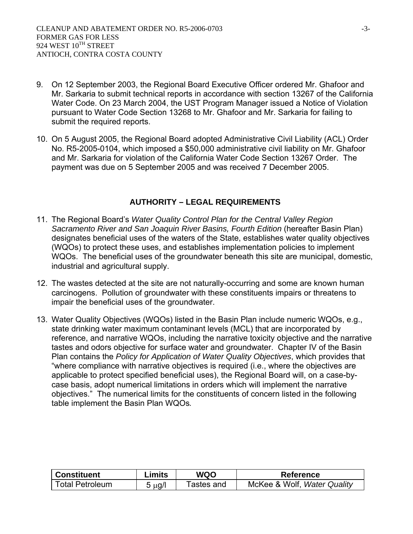- 9. On 12 September 2003, the Regional Board Executive Officer ordered Mr. Ghafoor and Mr. Sarkaria to submit technical reports in accordance with section 13267 of the California Water Code. On 23 March 2004, the UST Program Manager issued a Notice of Violation pursuant to Water Code Section 13268 to Mr. Ghafoor and Mr. Sarkaria for failing to submit the required reports.
- 10. On 5 August 2005, the Regional Board adopted Administrative Civil Liability (ACL) Order No. R5-2005-0104, which imposed a \$50,000 administrative civil liability on Mr. Ghafoor and Mr. Sarkaria for violation of the California Water Code Section 13267 Order. The payment was due on 5 September 2005 and was received 7 December 2005.

#### **AUTHORITY – LEGAL REQUIREMENTS**

- 11. The Regional Board's *Water Quality Control Plan for the Central Valley Region*  Sacramento River and San Joaquin River Basins, Fourth Edition (hereafter Basin Plan) designates beneficial uses of the waters of the State, establishes water quality objectives (WQOs) to protect these uses, and establishes implementation policies to implement WQOs. The beneficial uses of the groundwater beneath this site are municipal, domestic, industrial and agricultural supply.
- 12. The wastes detected at the site are not naturally-occurring and some are known human carcinogens. Pollution of groundwater with these constituents impairs or threatens to impair the beneficial uses of the groundwater.
- 13. Water Quality Objectives (WQOs) listed in the Basin Plan include numeric WQOs, e.g., state drinking water maximum contaminant levels (MCL) that are incorporated by reference, and narrative WQOs, including the narrative toxicity objective and the narrative tastes and odors objective for surface water and groundwater. Chapter IV of the Basin Plan contains the *Policy for Application of Water Quality Objectives*, which provides that "where compliance with narrative objectives is required (i.e., where the objectives are applicable to protect specified beneficial uses), the Regional Board will, on a case-bycase basis, adopt numerical limitations in orders which will implement the narrative objectives." The numerical limits for the constituents of concern listed in the following table implement the Basin Plan WQOs*.*

| <b>Constituent</b>     | Limits | WQO        | <b>Reference</b>            |
|------------------------|--------|------------|-----------------------------|
| <b>Total Petroleum</b> | 5 µg/l | Tastes and | McKee & Wolf, Water Quality |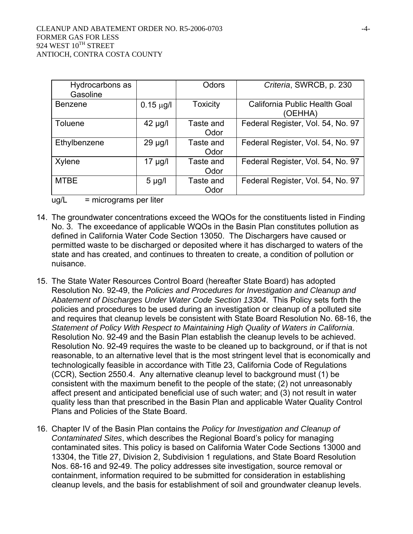| Hydrocarbons as<br>Gasoline |                | Odors             | Criteria, SWRCB, p. 230                  |
|-----------------------------|----------------|-------------------|------------------------------------------|
| <b>Benzene</b>              | $0.15 \mu g/l$ | <b>Toxicity</b>   | California Public Health Goal<br>(OEHHA) |
| Toluene                     | $42 \mu g/l$   | Taste and<br>Odor | Federal Register, Vol. 54, No. 97        |
| Ethylbenzene                | $29 \mu g/l$   | Taste and<br>Odor | Federal Register, Vol. 54, No. 97        |
| Xylene                      | 17 µg/l        | Taste and<br>Odor | Federal Register, Vol. 54, No. 97        |
| <b>MTBE</b>                 | $5 \mu g/l$    | Taste and<br>Odor | Federal Register, Vol. 54, No. 97        |

 $ug/L$  = micrograms per liter

- 14. The groundwater concentrations exceed the WQOs for the constituents listed in Finding No. 3. The exceedance of applicable WQOs in the Basin Plan constitutes pollution as defined in California Water Code Section 13050. The Dischargers have caused or permitted waste to be discharged or deposited where it has discharged to waters of the state and has created, and continues to threaten to create, a condition of pollution or nuisance.
- 15. The State Water Resources Control Board (hereafter State Board) has adopted Resolution No. 92-49, the *Policies and Procedures for Investigation and Cleanup and Abatement of Discharges Under Water Code Section 13304*. This Policy sets forth the policies and procedures to be used during an investigation or cleanup of a polluted site and requires that cleanup levels be consistent with State Board Resolution No. 68-16, the *Statement of Policy With Respect to Maintaining High Quality of Waters in California*. Resolution No. 92-49 and the Basin Plan establish the cleanup levels to be achieved. Resolution No. 92-49 requires the waste to be cleaned up to background, or if that is not reasonable, to an alternative level that is the most stringent level that is economically and technologically feasible in accordance with Title 23, California Code of Regulations (CCR), Section 2550.4. Any alternative cleanup level to background must (1) be consistent with the maximum benefit to the people of the state; (2) not unreasonably affect present and anticipated beneficial use of such water; and (3) not result in water quality less than that prescribed in the Basin Plan and applicable Water Quality Control Plans and Policies of the State Board.
- 16. Chapter IV of the Basin Plan contains the *Policy for Investigation and Cleanup of Contaminated Sites*, which describes the Regional Board's policy for managing contaminated sites. This policy is based on California Water Code Sections 13000 and 13304, the Title 27, Division 2, Subdivision 1 regulations, and State Board Resolution Nos. 68-16 and 92-49. The policy addresses site investigation, source removal or containment, information required to be submitted for consideration in establishing cleanup levels, and the basis for establishment of soil and groundwater cleanup levels.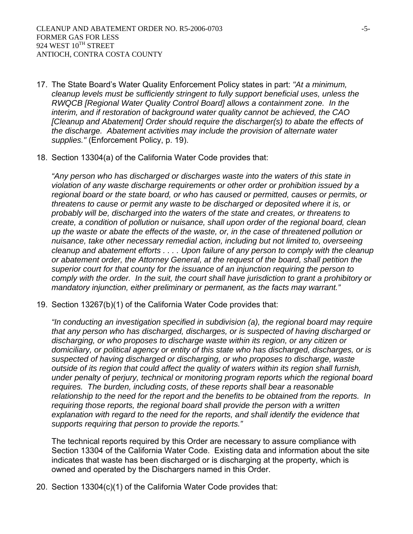- 17. The State Board's Water Quality Enforcement Policy states in part: *"At a minimum, cleanup levels must be sufficiently stringent to fully support beneficial uses, unless the RWQCB [Regional Water Quality Control Board] allows a containment zone. In the interim, and if restoration of background water quality cannot be achieved, the CAO [Cleanup and Abatement] Order should require the discharger(s) to abate the effects of the discharge. Abatement activities may include the provision of alternate water supplies."* (Enforcement Policy, p. 19).
- 18. Section 13304(a) of the California Water Code provides that:

*"Any person who has discharged or discharges waste into the waters of this state in violation of any waste discharge requirements or other order or prohibition issued by a regional board or the state board, or who has caused or permitted, causes or permits, or threatens to cause or permit any waste to be discharged or deposited where it is, or probably will be, discharged into the waters of the state and creates, or threatens to create, a condition of pollution or nuisance, shall upon order of the regional board, clean up the waste or abate the effects of the waste, or, in the case of threatened pollution or nuisance, take other necessary remedial action, including but not limited to, overseeing cleanup and abatement efforts . . . . Upon failure of any person to comply with the cleanup or abatement order, the Attorney General, at the request of the board, shall petition the superior court for that county for the issuance of an injunction requiring the person to comply with the order. In the suit, the court shall have jurisdiction to grant a prohibitory or mandatory injunction, either preliminary or permanent, as the facts may warrant."* 

19. Section 13267(b)(1) of the California Water Code provides that:

*"In conducting an investigation specified in subdivision (a), the regional board may require that any person who has discharged, discharges, or is suspected of having discharged or discharging, or who proposes to discharge waste within its region, or any citizen or domiciliary, or political agency or entity of this state who has discharged, discharges, or is suspected of having discharged or discharging, or who proposes to discharge, waste outside of its region that could affect the quality of waters within its region shall furnish, under penalty of perjury, technical or monitoring program reports which the regional board requires. The burden, including costs, of these reports shall bear a reasonable relationship to the need for the report and the benefits to be obtained from the reports. In*  requiring those reports, the regional board shall provide the person with a written explanation with regard to the need for the reports, and shall identify the evidence that *supports requiring that person to provide the reports."* 

The technical reports required by this Order are necessary to assure compliance with Section 13304 of the California Water Code. Existing data and information about the site indicates that waste has been discharged or is discharging at the property, which is owned and operated by the Dischargers named in this Order.

20. Section 13304(c)(1) of the California Water Code provides that: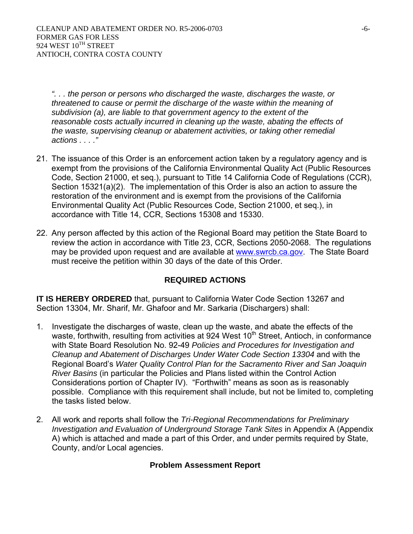*". . . the person or persons who discharged the waste, discharges the waste, or threatened to cause or permit the discharge of the waste within the meaning of subdivision (a), are liable to that government agency to the extent of the*  reasonable costs actually incurred in cleaning up the waste, abating the effects of *the waste, supervising cleanup or abatement activities, or taking other remedial actions . . . ."* 

- 21. The issuance of this Order is an enforcement action taken by a regulatory agency and is exempt from the provisions of the California Environmental Quality Act (Public Resources Code, Section 21000, et seq.), pursuant to Title 14 California Code of Regulations (CCR), Section 15321(a)(2). The implementation of this Order is also an action to assure the restoration of the environment and is exempt from the provisions of the California Environmental Quality Act (Public Resources Code, Section 21000, et seq.), in accordance with Title 14, CCR, Sections 15308 and 15330.
- 22. Any person affected by this action of the Regional Board may petition the State Board to review the action in accordance with Title 23, CCR, Sections 2050-2068. The regulations may be provided upon request and are available at www.swrcb.ca.gov. The State Board must receive the petition within 30 days of the date of this Order.

# **REQUIRED ACTIONS**

**IT IS HEREBY ORDERED** that, pursuant to California Water Code Section 13267 and Section 13304, Mr. Sharif, Mr. Ghafoor and Mr. Sarkaria (Dischargers) shall:

- 1. Investigate the discharges of waste, clean up the waste, and abate the effects of the waste, forthwith, resulting from activities at 924 West  $10<sup>th</sup>$  Street, Antioch, in conformance with State Board Resolution No. 92-49 *Policies and Procedures for Investigation and Cleanup and Abatement of Discharges Under Water Code Section 13304* and with the Regional Board's *Water Quality Control Plan for the Sacramento River and San Joaquin River Basins* (in particular the Policies and Plans listed within the Control Action Considerations portion of Chapter IV). "Forthwith" means as soon as is reasonably possible. Compliance with this requirement shall include, but not be limited to, completing the tasks listed below.
- 2. All work and reports shall follow the *Tri-Regional Recommendations for Preliminary Investigation and Evaluation of Underground Storage Tank Sites in Appendix A (Appendix* A) which is attached and made a part of this Order, and under permits required by State, County, and/or Local agencies.

# **Problem Assessment Report**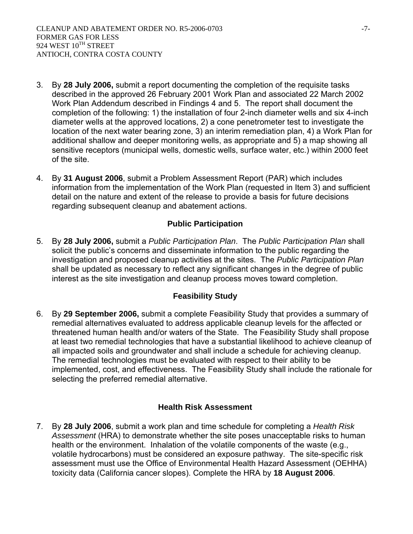- 3. By **28 July 2006,** submit a report documenting the completion of the requisite tasks described in the approved 26 February 2001 Work Plan and associated 22 March 2002 Work Plan Addendum described in Findings 4 and 5. The report shall document the completion of the following: 1) the installation of four 2-inch diameter wells and six 4-inch diameter wells at the approved locations, 2) a cone penetrometer test to investigate the location of the next water bearing zone, 3) an interim remediation plan, 4) a Work Plan for additional shallow and deeper monitoring wells, as appropriate and 5) a map showing all sensitive receptors (municipal wells, domestic wells, surface water, etc.) within 2000 feet of the site.
- 4. By **31 August 2006**, submit a Problem Assessment Report (PAR) which includes information from the implementation of the Work Plan (requested in Item 3) and sufficient detail on the nature and extent of the release to provide a basis for future decisions regarding subsequent cleanup and abatement actions.

# **Public Participation**

5. By **28 July 2006,** submit a *Public Participation Plan*. The *Public Participation Plan* shall solicit the public's concerns and disseminate information to the public regarding the investigation and proposed cleanup activities at the sites. The *Public Participation Plan* shall be updated as necessary to reflect any significant changes in the degree of public interest as the site investigation and cleanup process moves toward completion.

# **Feasibility Study**

6. By **29 September 2006,** submit a complete Feasibility Study that provides a summary of remedial alternatives evaluated to address applicable cleanup levels for the affected or threatened human health and/or waters of the State. The Feasibility Study shall propose at least two remedial technologies that have a substantial likelihood to achieve cleanup of all impacted soils and groundwater and shall include a schedule for achieving cleanup. The remedial technologies must be evaluated with respect to their ability to be implemented, cost, and effectiveness. The Feasibility Study shall include the rationale for selecting the preferred remedial alternative.

#### **Health Risk Assessment**

7. By **28 July 2006**, submit a work plan and time schedule for completing a *Health Risk Assessment* (HRA) to demonstrate whether the site poses unacceptable risks to human health or the environment. Inhalation of the volatile components of the waste (e.g., volatile hydrocarbons) must be considered an exposure pathway. The site-specific risk assessment must use the Office of Environmental Health Hazard Assessment (OEHHA) toxicity data (California cancer slopes). Complete the HRA by **18 August 2006**.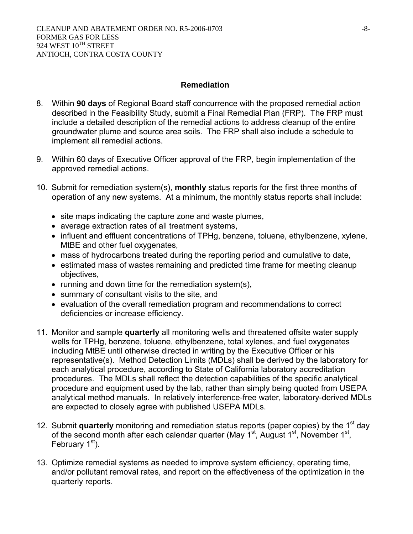# **Remediation**

- 8. Within **90 days** of Regional Board staff concurrence with the proposed remedial action described in the Feasibility Study, submit a Final Remedial Plan (FRP). The FRP must include a detailed description of the remedial actions to address cleanup of the entire groundwater plume and source area soils. The FRP shall also include a schedule to implement all remedial actions.
- 9. Within 60 days of Executive Officer approval of the FRP, begin implementation of the approved remedial actions.
- 10. Submit for remediation system(s), **monthly** status reports for the first three months of operation of any new systems. At a minimum, the monthly status reports shall include:
	- site maps indicating the capture zone and waste plumes,
	- average extraction rates of all treatment systems,
	- influent and effluent concentrations of TPHg, benzene, toluene, ethylbenzene, xylene, MtBE and other fuel oxygenates,
	- mass of hydrocarbons treated during the reporting period and cumulative to date,
	- estimated mass of wastes remaining and predicted time frame for meeting cleanup objectives,
	- running and down time for the remediation system(s),
	- summary of consultant visits to the site, and
	- evaluation of the overall remediation program and recommendations to correct deficiencies or increase efficiency.
- 11. Monitor and sample **quarterly** all monitoring wells and threatened offsite water supply wells for TPHg, benzene, toluene, ethylbenzene, total xylenes, and fuel oxygenates including MtBE until otherwise directed in writing by the Executive Officer or his representative(s). Method Detection Limits (MDLs) shall be derived by the laboratory for each analytical procedure, according to State of California laboratory accreditation procedures. The MDLs shall reflect the detection capabilities of the specific analytical procedure and equipment used by the lab, rather than simply being quoted from USEPA analytical method manuals. In relatively interference-free water, laboratory-derived MDLs are expected to closely agree with published USEPA MDLs.
- 12. Submit **quarterly** monitoring and remediation status reports (paper copies) by the 1<sup>st</sup> day of the second month after each calendar quarter (May  $1^{st}$ , August  $1^{st}$ , November  $1^{st}$ , February 1<sup>st</sup>).
- 13. Optimize remedial systems as needed to improve system efficiency, operating time, and/or pollutant removal rates, and report on the effectiveness of the optimization in the quarterly reports.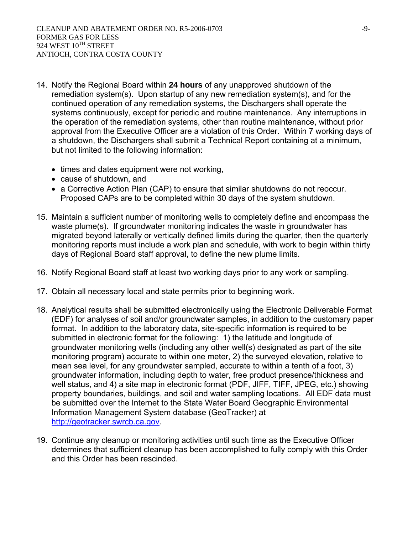- 14. Notify the Regional Board within **24 hours** of any unapproved shutdown of the remediation system(s). Upon startup of any new remediation system(s), and for the continued operation of any remediation systems, the Dischargers shall operate the systems continuously, except for periodic and routine maintenance. Any interruptions in the operation of the remediation systems, other than routine maintenance, without prior approval from the Executive Officer are a violation of this Order. Within 7 working days of a shutdown, the Dischargers shall submit a Technical Report containing at a minimum, but not limited to the following information:
	- times and dates equipment were not working,
	- cause of shutdown, and
	- a Corrective Action Plan (CAP) to ensure that similar shutdowns do not reoccur. Proposed CAPs are to be completed within 30 days of the system shutdown.
- 15. Maintain a sufficient number of monitoring wells to completely define and encompass the waste plume(s). If groundwater monitoring indicates the waste in groundwater has migrated beyond laterally or vertically defined limits during the quarter, then the quarterly monitoring reports must include a work plan and schedule, with work to begin within thirty days of Regional Board staff approval, to define the new plume limits.
- 16. Notify Regional Board staff at least two working days prior to any work or sampling.
- 17. Obtain all necessary local and state permits prior to beginning work.
- 18. Analytical results shall be submitted electronically using the Electronic Deliverable Format (EDF) for analyses of soil and/or groundwater samples, in addition to the customary paper format. In addition to the laboratory data, site-specific information is required to be submitted in electronic format for the following: 1) the latitude and longitude of groundwater monitoring wells (including any other well(s) designated as part of the site monitoring program) accurate to within one meter, 2) the surveyed elevation, relative to mean sea level, for any groundwater sampled, accurate to within a tenth of a foot, 3) groundwater information, including depth to water, free product presence/thickness and well status, and 4) a site map in electronic format (PDF, JIFF, TIFF, JPEG, etc.) showing property boundaries, buildings, and soil and water sampling locations. All EDF data must be submitted over the Internet to the State Water Board Geographic Environmental Information Management System database (GeoTracker) at http://geotracker.swrcb.ca.gov.
- 19. Continue any cleanup or monitoring activities until such time as the Executive Officer determines that sufficient cleanup has been accomplished to fully comply with this Order and this Order has been rescinded.